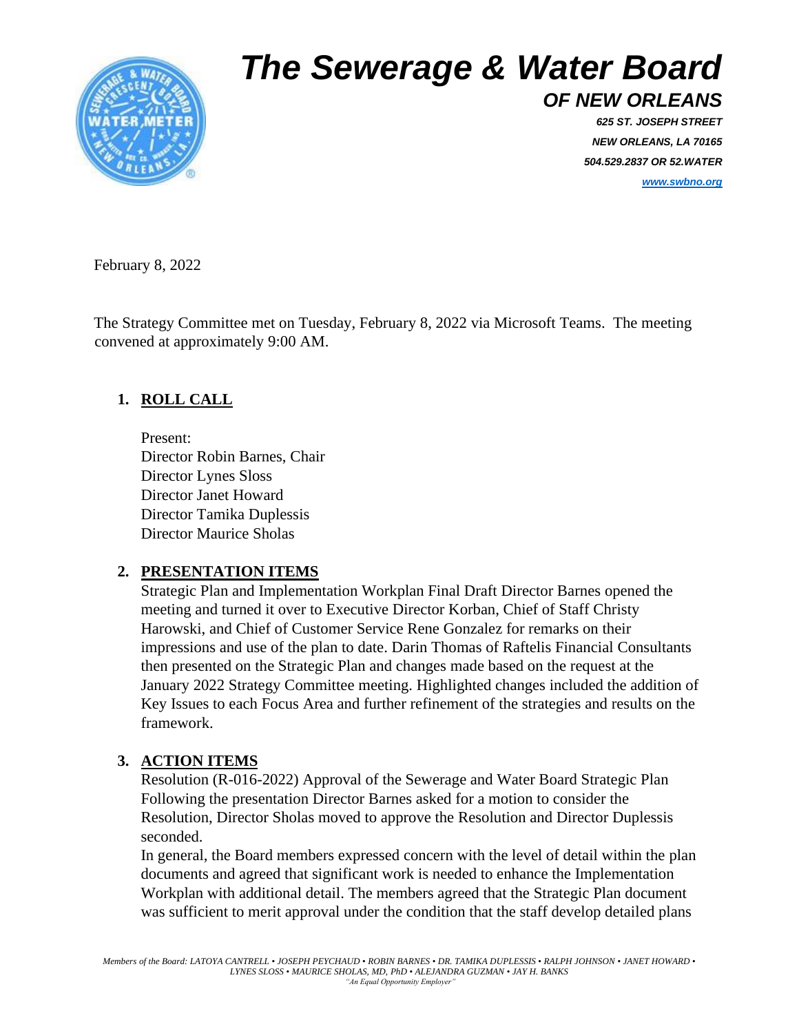

# *The Sewerage & Water Board*

*OF NEW ORLEANS 625 ST. JOSEPH STREET NEW ORLEANS, LA 70165 504.529.2837 OR 52.WATER*

*[www.swbno.org](http://www.swbno.org/)*

February 8, 2022

The Strategy Committee met on Tuesday, February 8, 2022 via Microsoft Teams. The meeting convened at approximately 9:00 AM.

### **1. ROLL CALL**

Present: Director Robin Barnes, Chair Director Lynes Sloss Director Janet Howard Director Tamika Duplessis Director Maurice Sholas

#### **2. PRESENTATION ITEMS**

Strategic Plan and Implementation Workplan Final Draft Director Barnes opened the meeting and turned it over to Executive Director Korban, Chief of Staff Christy Harowski, and Chief of Customer Service Rene Gonzalez for remarks on their impressions and use of the plan to date. Darin Thomas of Raftelis Financial Consultants then presented on the Strategic Plan and changes made based on the request at the January 2022 Strategy Committee meeting. Highlighted changes included the addition of Key Issues to each Focus Area and further refinement of the strategies and results on the framework.

#### **3. ACTION ITEMS**

Resolution (R-016-2022) Approval of the Sewerage and Water Board Strategic Plan Following the presentation Director Barnes asked for a motion to consider the Resolution, Director Sholas moved to approve the Resolution and Director Duplessis seconded.

In general, the Board members expressed concern with the level of detail within the plan documents and agreed that significant work is needed to enhance the Implementation Workplan with additional detail. The members agreed that the Strategic Plan document was sufficient to merit approval under the condition that the staff develop detailed plans